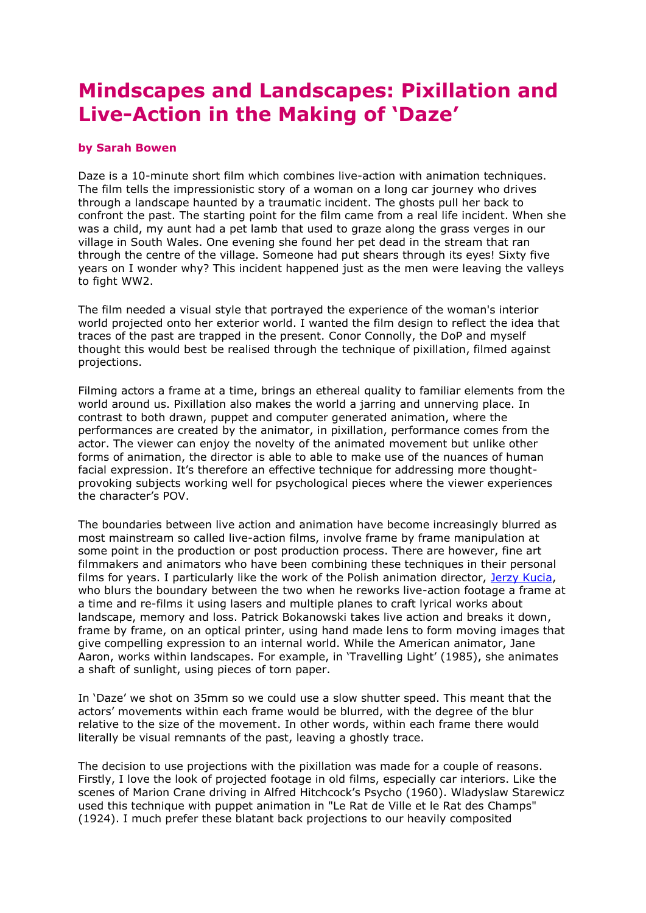## **Mindscapes and Landscapes: Pixillation and Live-Action in the Making of 'Daze'**

## **by Sarah Bowen**

Daze is a 10-minute short film which combines live-action with animation techniques. The film tells the impressionistic story of a woman on a long car journey who drives through a landscape haunted by a traumatic incident. The ghosts pull her back to confront the past. The starting point for the film came from a real life incident. When she was a child, my aunt had a pet lamb that used to graze along the grass verges in our village in South Wales. One evening she found her pet dead in the stream that ran through the centre of the village. Someone had put shears through its eyes! Sixty five years on I wonder why? This incident happened just as the men were leaving the valleys to fight WW2.

The film needed a visual style that portrayed the experience of the woman's interior world projected onto her exterior world. I wanted the film design to reflect the idea that traces of the past are trapped in the present. Conor Connolly, the DoP and myself thought this would best be realised through the technique of pixillation, filmed against projections.

Filming actors a frame at a time, brings an ethereal quality to familiar elements from the world around us. Pixillation also makes the world a jarring and unnerving place. In contrast to both drawn, puppet and computer generated animation, where the performances are created by the animator, in pixillation, performance comes from the actor. The viewer can enjoy the novelty of the animated movement but unlike other forms of animation, the director is able to able to make use of the nuances of human facial expression. It's therefore an effective technique for addressing more thoughtprovoking subjects working well for psychological pieces where the viewer experiences the character's POV.

The boundaries between live action and animation have become increasingly blurred as most mainstream so called live-action films, involve frame by frame manipulation at some point in the production or post production process. There are however, fine art filmmakers and animators who have been combining these techniques in their personal films for years. I particularly like the work of the Polish animation director, [Jerzy Kucia,](http://www.kulturaxe.com/kuci-e.html) who blurs the boundary between the two when he reworks live-action footage a frame at a time and re-films it using lasers and multiple planes to craft lyrical works about landscape, memory and loss. Patrick Bokanowski takes live action and breaks it down, frame by frame, on an optical printer, using hand made lens to form moving images that give compelling expression to an internal world. While the American animator, Jane Aaron, works within landscapes. For example, in 'Travelling Light' (1985), she animates a shaft of sunlight, using pieces of torn paper.

In 'Daze' we shot on 35mm so we could use a slow shutter speed. This meant that the actors' movements within each frame would be blurred, with the degree of the blur relative to the size of the movement. In other words, within each frame there would literally be visual remnants of the past, leaving a ghostly trace.

The decision to use projections with the pixillation was made for a couple of reasons. Firstly, I love the look of projected footage in old films, especially car interiors. Like the scenes of Marion Crane driving in Alfred Hitchcock's Psycho (1960). Wladyslaw Starewicz used this technique with puppet animation in "Le Rat de Ville et le Rat des Champs" (1924). I much prefer these blatant back projections to our heavily composited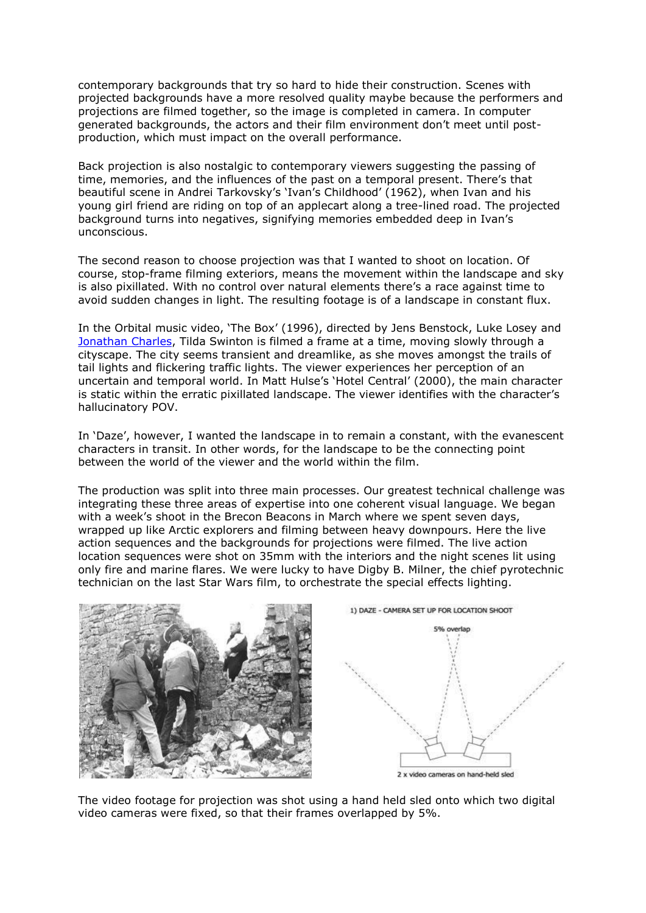contemporary backgrounds that try so hard to hide their construction. Scenes with projected backgrounds have a more resolved quality maybe because the performers and projections are filmed together, so the image is completed in camera. In computer generated backgrounds, the actors and their film environment don't meet until postproduction, which must impact on the overall performance.

Back projection is also nostalgic to contemporary viewers suggesting the passing of time, memories, and the influences of the past on a temporal present. There's that beautiful scene in Andrei Tarkovsky's 'Ivan's Childhood' (1962), when Ivan and his young girl friend are riding on top of an applecart along a tree-lined road. The projected background turns into negatives, signifying memories embedded deep in Ivan's unconscious.

The second reason to choose projection was that I wanted to shoot on location. Of course, stop-frame filming exteriors, means the movement within the landscape and sky is also pixillated. With no control over natural elements there's a race against time to avoid sudden changes in light. The resulting footage is of a landscape in constant flux.

In the Orbital music video, 'The Box' (1996), directed by Jens Benstock, Luke Losey and [Jonathan Charles,](http://www.dfiefoe.co.uk/index01.htm) Tilda Swinton is filmed a frame at a time, moving slowly through a cityscape. The city seems transient and dreamlike, as she moves amongst the trails of tail lights and flickering traffic lights. The viewer experiences her perception of an uncertain and temporal world. In Matt Hulse's 'Hotel Central' (2000), the main character is static within the erratic pixillated landscape. The viewer identifies with the character's hallucinatory POV.

In 'Daze', however, I wanted the landscape in to remain a constant, with the evanescent characters in transit. In other words, for the landscape to be the connecting point between the world of the viewer and the world within the film.

The production was split into three main processes. Our greatest technical challenge was integrating these three areas of expertise into one coherent visual language. We began with a week's shoot in the Brecon Beacons in March where we spent seven days, wrapped up like Arctic explorers and filming between heavy downpours. Here the live action sequences and the backgrounds for projections were filmed. The live action location sequences were shot on 35mm with the interiors and the night scenes lit using only fire and marine flares. We were lucky to have Digby B. Milner, the chief pyrotechnic technician on the last Star Wars film, to orchestrate the special effects lighting.



The video footage for projection was shot using a hand held sled onto which two digital video cameras were fixed, so that their frames overlapped by 5%.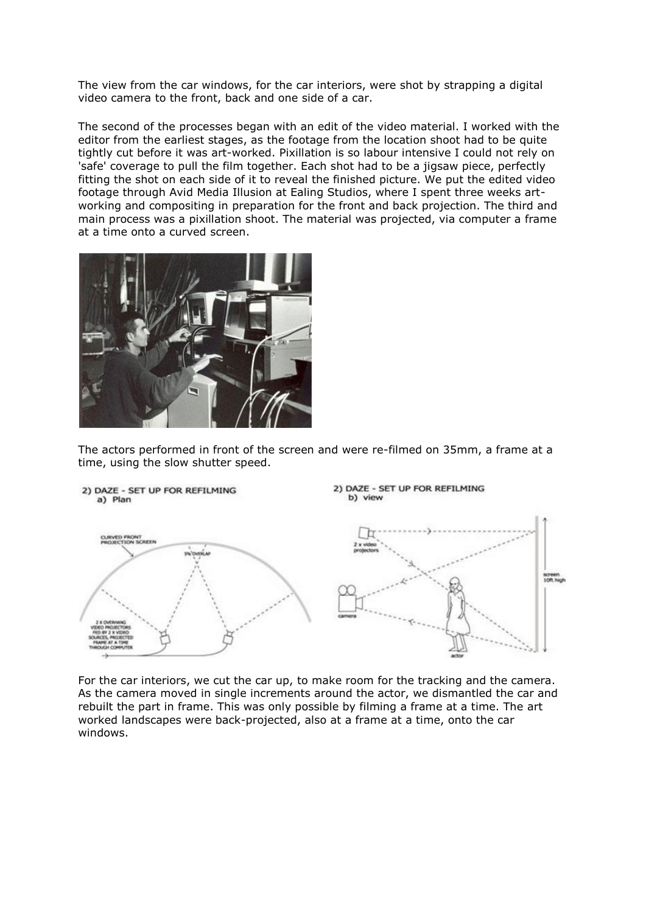The view from the car windows, for the car interiors, were shot by strapping a digital video camera to the front, back and one side of a car.

The second of the processes began with an edit of the video material. I worked with the editor from the earliest stages, as the footage from the location shoot had to be quite tightly cut before it was art-worked. Pixillation is so labour intensive I could not rely on 'safe' coverage to pull the film together. Each shot had to be a jigsaw piece, perfectly fitting the shot on each side of it to reveal the finished picture. We put the edited video footage through Avid Media Illusion at Ealing Studios, where I spent three weeks artworking and compositing in preparation for the front and back projection. The third and main process was a pixillation shoot. The material was projected, via computer a frame at a time onto a curved screen.



The actors performed in front of the screen and were re-filmed on 35mm, a frame at a time, using the slow shutter speed.



For the car interiors, we cut the car up, to make room for the tracking and the camera. As the camera moved in single increments around the actor, we dismantled the car and rebuilt the part in frame. This was only possible by filming a frame at a time. The art worked landscapes were back-projected, also at a frame at a time, onto the car windows.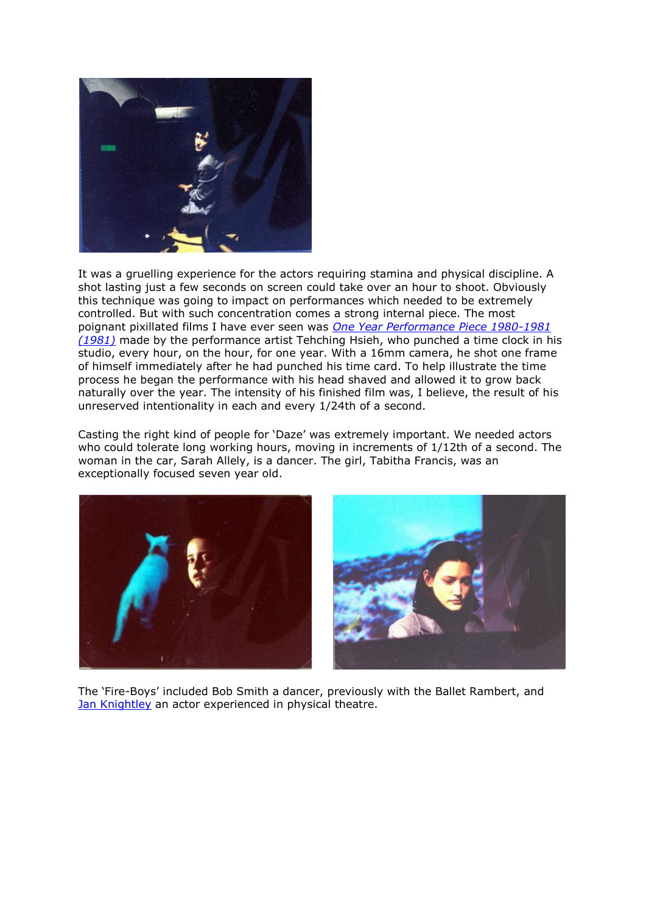

It was a gruelling experience for the actors requiring stamina and physical discipline. A shot lasting just a few seconds on screen could take over an hour to shoot. Obviously this technique was going to impact on performances which needed to be extremely controlled. But with such concentration comes a strong internal piece. The most poignant pixillated films I have ever seen was *[One Year Performance Piece 1980-1981](http://www.werkleitz.de/events/biennale2000/E/katalog/hsieh.html)  [\(1981\)](http://www.werkleitz.de/events/biennale2000/E/katalog/hsieh.html)* made by the performance artist Tehching Hsieh, who punched a time clock in his studio, every hour, on the hour, for one year. With a 16mm camera, he shot one frame of himself immediately after he had punched his time card. To help illustrate the time process he began the performance with his head shaved and allowed it to grow back naturally over the year. The intensity of his finished film was, I believe, the result of his unreserved intentionality in each and every 1/24th of a second.

Casting the right kind of people for 'Daze' was extremely important. We needed actors who could tolerate long working hours, moving in increments of 1/12th of a second. The woman in the car, Sarah Allely, is a dancer. The girl, Tabitha Francis, was an exceptionally focused seven year old.



The 'Fire-Boys' included Bob Smith a dancer, previously with the Ballet Rambert, and [Jan Knightley](http://www.volcanotheatre.co.uk/Biogs/janknightley.htm) an actor experienced in physical theatre.